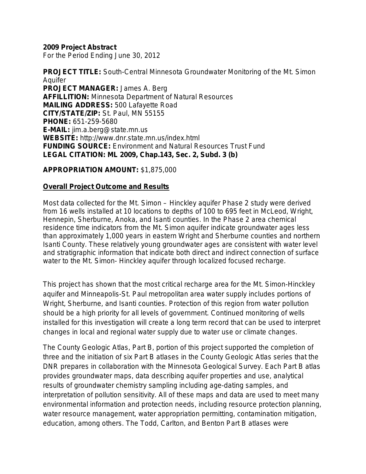### **2009 Project Abstract**

For the Period Ending June 30, 2012

**PROJECT TITLE:** South-Central Minnesota Groundwater Monitoring of the Mt. Simon Aquifer **PROJECT MANAGER:** James A. Berg **AFFILLITION:** Minnesota Department of Natural Resources **MAILING ADDRESS:** 500 Lafayette Road **CITY/STATE/ZIP:** St. Paul, MN 55155 **PHONE:** 651-259-5680 **E-MAIL:** jim.a.berg@state.mn.us **WEBSITE:** http://www.dnr.state.mn.us/index.html **FUNDING SOURCE:** Environment and Natural Resources Trust Fund **LEGAL CITATION: ML 2009, Chap.143, Sec. 2, Subd. 3 (b)**

### **APPROPRIATION AMOUNT:** \$1,875,000

### **Overall Project Outcome and Results**

Most data collected for the Mt. Simon – Hinckley aquifer Phase 2 study were derived from 16 wells installed at 10 locations to depths of 100 to 695 feet in McLeod, Wright, Hennepin, Sherburne, Anoka, and Isanti counties. In the Phase 2 area chemical residence time indicators from the Mt. Simon aquifer indicate groundwater ages less than approximately 1,000 years in eastern Wright and Sherburne counties and northern Isanti County. These relatively young groundwater ages are consistent with water level and stratigraphic information that indicate both direct and indirect connection of surface water to the Mt. Simon- Hinckley aquifer through localized focused recharge.

This project has shown that the most critical recharge area for the Mt. Simon-Hinckley aquifer and Minneapolis-St. Paul metropolitan area water supply includes portions of Wright, Sherburne, and Isanti counties. Protection of this region from water pollution should be a high priority for all levels of government. Continued monitoring of wells installed for this investigation will create a long term record that can be used to interpret changes in local and regional water supply due to water use or climate changes.

The County Geologic Atlas, Part B, portion of this project supported the completion of three and the initiation of six Part B atlases in the County Geologic Atlas series that the DNR prepares in collaboration with the Minnesota Geological Survey. Each Part B atlas provides groundwater maps, data describing aquifer properties and use, analytical results of groundwater chemistry sampling including age-dating samples, and interpretation of pollution sensitivity. All of these maps and data are used to meet many environmental information and protection needs, including resource protection planning, water resource management, water appropriation permitting, contamination mitigation, education, among others. The Todd, Carlton, and Benton Part B atlases were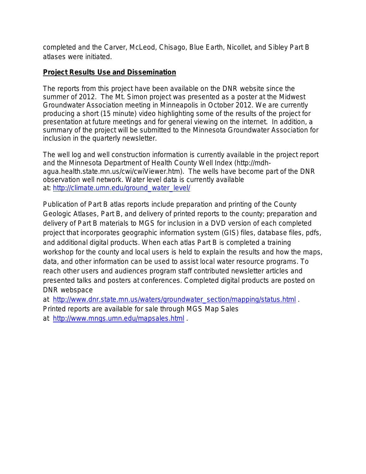completed and the Carver, McLeod, Chisago, Blue Earth, Nicollet, and Sibley Part B atlases were initiated.

# **Project Results Use and Dissemination**

The reports from this project have been available on the DNR website since the summer of 2012. The Mt. Simon project was presented as a poster at the Midwest Groundwater Association meeting in Minneapolis in October 2012. We are currently producing a short (15 minute) video highlighting some of the results of the project for presentation at future meetings and for general viewing on the internet. In addition, a summary of the project will be submitted to the Minnesota Groundwater Association for inclusion in the quarterly newsletter.

The well log and well construction information is currently available in the project report and the Minnesota Department of Health County Well Index (http://mdhagua.health.state.mn.us/cwi/cwiViewer.htm). The wells have become part of the DNR observation well network. Water level data is currently available at: [http://climate.umn.edu/ground\\_water\\_level/](http://climate.umn.edu/ground_water_level/)

Publication of Part B atlas reports include preparation and printing of the County Geologic Atlases, Part B, and delivery of printed reports to the county; preparation and delivery of Part B materials to MGS for inclusion in a DVD version of each completed project that incorporates geographic information system (GIS) files, database files, pdfs, and additional digital products. When each atlas Part B is completed a training workshop for the county and local users is held to explain the results and how the maps, data, and other information can be used to assist local water resource programs. To reach other users and audiences program staff contributed newsletter articles and presented talks and posters at conferences. Completed digital products are posted on DNR webspace

at [http://www.dnr.state.mn.us/waters/groundwater\\_section/mapping/status.html](http://www.dnr.state.mn.us/waters/groundwater_section/mapping/status.html) .

Printed reports are available for sale through MGS Map Sales

at <http://www.mngs.umn.edu/mapsales.html> .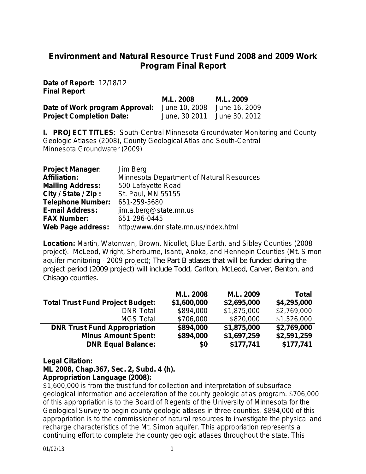# **Environment and Natural Resource Trust Fund 2008 and 2009 Work Program Final Report**

**Date of Report:** 12/18/12 **Final Report**

|                                                            | M.L. 2008 | M.L. 2009                   |
|------------------------------------------------------------|-----------|-----------------------------|
| Date of Work program Approval: June 10, 2008 June 16, 2009 |           |                             |
| <b>Project Completion Date:</b>                            |           | June, 30 2011 June 30, 2012 |

**I. PROJECT TITLES**: South-Central Minnesota Groundwater Monitoring and County Geologic Atlases (2008), County Geological Atlas and South-Central Minnesota Groundwater (2009)

| <b>Project Manager:</b>  | Jim Berg                                         |
|--------------------------|--------------------------------------------------|
| <b>Affiliation:</b>      | <b>Minnesota Department of Natural Resources</b> |
| <b>Mailing Address:</b>  | 500 Lafayette Road                               |
| City / State / Zip:      | St. Paul, MN 55155                               |
| <b>Telephone Number:</b> | 651-259-5680                                     |
| <b>E-mail Address:</b>   | jim.a.berg@state.mn.us                           |
| <b>FAX Number:</b>       | 651-296-0445                                     |
| <b>Web Page address:</b> | http://www.dnr.state.mn.us/index.html            |

**Location:** Martin, Watonwan, Brown, Nicollet, Blue Earth, and Sibley Counties (2008 project). McLeod, Wright, Sherburne, Isanti, Anoka, and Hennepin Counties (Mt. Simon aquifer monitoring - 2009 project); The Part B atlases that will be funded during the project period (2009 project) will include Todd, Carlton, McLeod, Carver, Benton, and Chisago counties.

|                                         | M.L. 2008   | M.L. 2009   | <b>Total</b> |
|-----------------------------------------|-------------|-------------|--------------|
| <b>Total Trust Fund Project Budget:</b> | \$1,600,000 | \$2,695,000 | \$4,295,000  |
| <b>DNR Total</b>                        | \$894,000   | \$1,875,000 | \$2,769,000  |
| <b>MGS Total</b>                        | \$706,000   | \$820,000   | \$1,526,000  |
| <b>DNR Trust Fund Appropriation</b>     | \$894,000   | \$1,875,000 | \$2,769,000  |
| <b>Minus Amount Spent:</b>              | \$894,000   | \$1,697,259 | \$2,591,259  |
| <b>DNR Equal Balance:</b>               | \$0         | \$177,741   | \$177,741    |

### **Legal Citation:**

**ML 2008, Chap.367, Sec. 2, Subd. 4 (h).**

### **Appropriation Language (2008):**

\$1,600,000 is from the trust fund for collection and interpretation of subsurface geological information and acceleration of the county geologic atlas program. \$706,000 of this appropriation is to the Board of Regents of the University of Minnesota for the Geological Survey to begin county geologic atlases in three counties. \$894,000 of this appropriation is to the commissioner of natural resources to investigate the physical and recharge characteristics of the Mt. Simon aquifer. This appropriation represents a continuing effort to complete the county geologic atlases throughout the state. This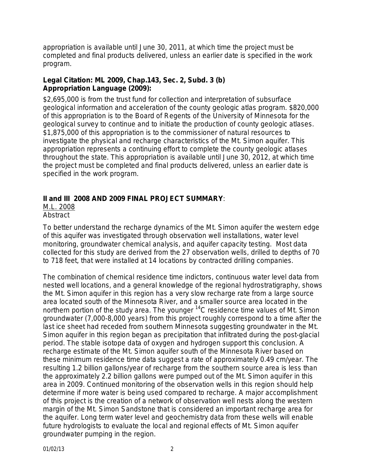appropriation is available until June 30, 2011, at which time the project must be completed and final products delivered, unless an earlier date is specified in the work program.

# **Legal Citation: ML 2009, Chap.143, Sec. 2, Subd. 3 (b) Appropriation Language (2009):**

\$2,695,000 is from the trust fund for collection and interpretation of subsurface geological information and acceleration of the county geologic atlas program. \$820,000 of this appropriation is to the Board of Regents of the University of Minnesota for the geological survey to continue and to initiate the production of county geologic atlases. \$1,875,000 of this appropriation is to the commissioner of natural resources to investigate the physical and recharge characteristics of the Mt. Simon aquifer. This appropriation represents a continuing effort to complete the county geologic atlases throughout the state. This appropriation is available until June 30, 2012, at which time the project must be completed and final products delivered, unless an earlier date is specified in the work program.

# **II and III 2008 AND 2009 FINAL PROJECT SUMMARY**:

M.L. 2008

**Abstract** 

To better understand the recharge dynamics of the Mt. Simon aquifer the western edge of this aquifer was investigated through observation well installations, water level monitoring, groundwater chemical analysis, and aquifer capacity testing.Most data collected for this study are derived from the 27 observation wells, drilled to depths of 70 to 718 feet, that were installed at 14 locations by contracted drilling companies.

The combination of chemical residence time indictors, continuous water level data from nested well locations, and a general knowledge of the regional hydrostratigraphy, shows the Mt. Simon aquifer in this region has a very slow recharge rate from a large source area located south of the Minnesota River, and a smaller source area located in the northern portion of the study area. The younger <sup>14</sup>C residence time values of Mt. Simon groundwater (7,000-8,000 years) from this project roughly correspond to a time after the last ice sheet had receded from southern Minnesota suggesting groundwater in the Mt. Simon aquifer in this region began as precipitation that infiltrated during the post-glacial period. The stable isotope data of oxygen and hydrogen support this conclusion. A recharge estimate of the Mt. Simon aquifer south of the Minnesota River based on these minimum residence time data suggest a rate of approximately 0.49 cm/year. The resulting 1.2 billion gallons/year of recharge from the southern source area is less than the approximately 2.2 billion gallons were pumped out of the Mt. Simon aquifer in this area in 2009. Continued monitoring of the observation wells in this region should help determine if more water is being used compared to recharge. A major accomplishment of this project is the creation of a network of observation well nests along the western margin of the Mt. Simon Sandstone that is considered an important recharge area for the aquifer. Long term water level and geochemistry data from these wells will enable future hydrologists to evaluate the local and regional effects of Mt. Simon aquifer groundwater pumping in the region.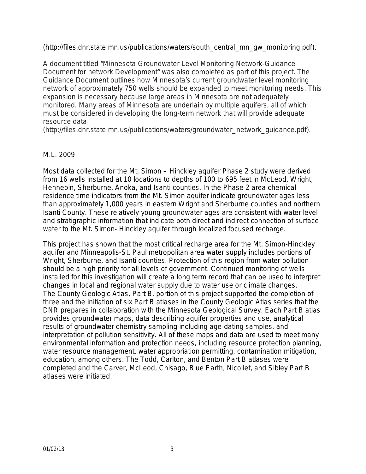(http://files.dnr.state.mn.us/publications/waters/south\_central\_mn\_gw\_monitoring.pdf).

A document titled "Minnesota Groundwater Level Monitoring Network-Guidance Document for network Development" was also completed as part of this project. The Guidance Document outlines how Minnesota's current groundwater level monitoring network of approximately 750 wells should be expanded to meet monitoring needs. This expansion is necessary because large areas in Minnesota are not adequately monitored. Many areas of Minnesota are underlain by multiple aquifers, all of which must be considered in developing the long-term network that will provide adequate resource data

(http://files.dnr.state.mn.us/publications/waters/groundwater\_network\_guidance.pdf).

### M.L. 2009

Most data collected for the Mt. Simon – Hinckley aquifer Phase 2 study were derived from 16 wells installed at 10 locations to depths of 100 to 695 feet in McLeod, Wright, Hennepin, Sherburne, Anoka, and Isanti counties. In the Phase 2 area chemical residence time indicators from the Mt. Simon aquifer indicate groundwater ages less than approximately 1,000 years in eastern Wright and Sherburne counties and northern Isanti County. These relatively young groundwater ages are consistent with water level and stratigraphic information that indicate both direct and indirect connection of surface water to the Mt. Simon- Hinckley aquifer through localized focused recharge.

This project has shown that the most critical recharge area for the Mt. Simon-Hinckley aquifer and Minneapolis-St. Paul metropolitan area water supply includes portions of Wright, Sherburne, and Isanti counties. Protection of this region from water pollution should be a high priority for all levels of government. Continued monitoring of wells installed for this investigation will create a long term record that can be used to interpret changes in local and regional water supply due to water use or climate changes. The County Geologic Atlas, Part B, portion of this project supported the completion of three and the initiation of six Part B atlases in the County Geologic Atlas series that the DNR prepares in collaboration with the Minnesota Geological Survey. Each Part B atlas provides groundwater maps, data describing aquifer properties and use, analytical results of groundwater chemistry sampling including age-dating samples, and interpretation of pollution sensitivity. All of these maps and data are used to meet many environmental information and protection needs, including resource protection planning, water resource management, water appropriation permitting, contamination mitigation, education, among others. The Todd, Carlton, and Benton Part B atlases were completed and the Carver, McLeod, Chisago, Blue Earth, Nicollet, and Sibley Part B atlases were initiated.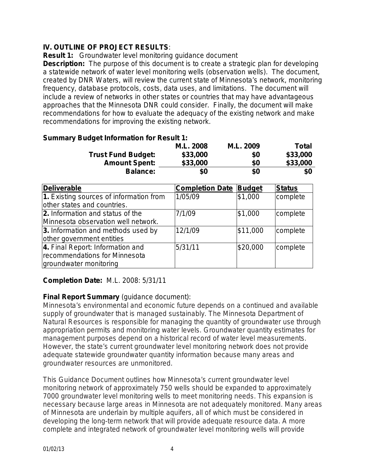# **IV. OUTLINE OF PROJECT RESULTS***:*

**Result 1:** Groundwater level monitoring guidance document

**Description:** The purpose of this document is to create a strategic plan for developing a statewide network of water level monitoring wells (observation wells). The document, created by DNR Waters, will review the current state of Minnesota's network, monitoring frequency, database protocols, costs, data uses, and limitations. The document will include a review of networks in other states or countries that may have advantageous approaches that the Minnesota DNR could consider. Finally, the document will make recommendations for how to evaluate the adequacy of the existing network and make recommendations for improving the existing network.

| <b>Summary Budget Information for Result 1:</b> |           |           |              |
|-------------------------------------------------|-----------|-----------|--------------|
|                                                 | M.L. 2008 | M.L. 2009 | <b>Total</b> |
| <b>Trust Fund Budget:</b>                       | \$33,000  | \$0       | \$33,000     |
| <b>Amount Spent:</b>                            | \$33,000  | \$0       | \$33,000     |
| <b>Balance:</b>                                 | \$0       | \$0       | \$0          |

| <b>Deliverable</b>                                                                          | <b>Completion Date</b> | <b>Budget</b> | <b>Status</b> |
|---------------------------------------------------------------------------------------------|------------------------|---------------|---------------|
| 1. Existing sources of information from<br>other states and countries.                      | 1/05/09                | \$1,000       | complete      |
| 2. Information and status of the<br>Minnesota observation well network.                     | 7/1/09                 | \$1,000       | complete      |
| 3. Information and methods used by<br>other government entities                             | 12/1/09                | \$11,000      | complete      |
| 4. Final Report: Information and<br>recommendations for Minnesota<br>groundwater monitoring | 5/31/11                | \$20,000      | complete      |

# **Completion Date:** M.L. 2008: 5/31/11

# **Final Report Summary** (guidance document):

Minnesota's environmental and economic future depends on a continued and available supply of groundwater that is managed sustainably. The Minnesota Department of Natural Resources is responsible for managing the quantity of groundwater use through appropriation permits and monitoring water levels. Groundwater quantity estimates for management purposes depend on a historical record of water level measurements. However, the state's current groundwater level monitoring network does not provide adequate statewide groundwater quantity information because many areas and groundwater resources are unmonitored.

This Guidance Document outlines how Minnesota's current groundwater level monitoring network of approximately 750 wells should be expanded to approximately 7000 groundwater level monitoring wells to meet monitoring needs. This expansion is necessary because large areas in Minnesota are not adequately monitored. Many areas of Minnesota are underlain by multiple aquifers, all of which must be considered in developing the long-term network that will provide adequate resource data. A more complete and integrated network of groundwater level monitoring wells will provide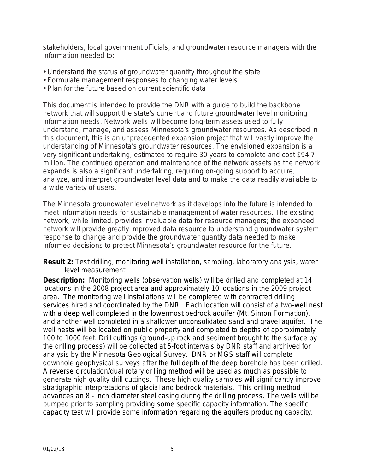stakeholders, local government officials, and groundwater resource managers with the information needed to:

- Understand the status of groundwater quantity throughout the state
- Formulate management responses to changing water levels
- Plan for the future based on current scientific data

This document is intended to provide the DNR with a guide to build the backbone network that will support the state's current and future groundwater level monitoring information needs. Network wells will become long-term assets used to fully understand, manage, and assess Minnesota's groundwater resources. As described in this document, this is an unprecedented expansion project that will vastly improve the understanding of Minnesota's groundwater resources. The envisioned expansion is a very significant undertaking, estimated to require 30 years to complete and cost \$94.7 million. The continued operation and maintenance of the network assets as the network expands is also a significant undertaking, requiring on-going support to acquire, analyze, and interpret groundwater level data and to make the data readily available to a wide variety of users.

The Minnesota groundwater level network as it develops into the future is intended to meet information needs for sustainable management of water resources. The existing network, while limited, provides invaluable data for resource managers; the expanded network will provide greatly improved data resource to understand groundwater system response to change and provide the groundwater quantity data needed to make informed decisions to protect Minnesota's groundwater resource for the future.

**Result 2:** Test drilling, monitoring well installation, sampling, laboratory analysis, water level measurement

**Description:** Monitoring wells (observation wells) will be drilled and completed at 14 locations in the 2008 project area and approximately 10 locations in the 2009 project area. The monitoring well installations will be completed with contracted drilling services hired and coordinated by the DNR. Each location will consist of a two-well nest with a deep well completed in the lowermost bedrock aquifer (Mt. Simon Formation), and another well completed in a shallower unconsolidated sand and gravel aquifer. The well nests will be located on public property and completed to depths of approximately 100 to 1000 feet. Drill cuttings (ground-up rock and sediment brought to the surface by the drilling process) will be collected at 5-foot intervals by DNR staff and archived for analysis by the Minnesota Geological Survey. DNR or MGS staff will complete downhole geophysical surveys after the full depth of the deep borehole has been drilled. A reverse circulation/dual rotary drilling method will be used as much as possible to generate high quality drill cuttings. These high quality samples will significantly improve stratigraphic interpretations of glacial and bedrock materials. This drilling method advances an 8 - inch diameter steel casing during the drilling process. The wells will be pumped prior to sampling providing some specific capacity information. The specific capacity test will provide some information regarding the aquifers producing capacity.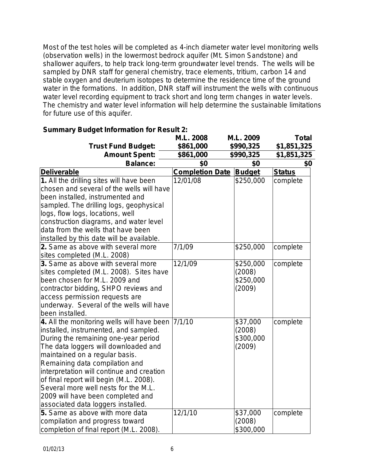Most of the test holes will be completed as 4-inch diameter water level monitoring wells (observation wells) in the lowermost bedrock aquifer (Mt. Simon Sandstone) and shallower aquifers, to help track long-term groundwater level trends. The wells will be sampled by DNR staff for general chemistry, trace elements, tritium, carbon 14 and stable oxygen and deuterium isotopes to determine the residence time of the ground water in the formations. In addition, DNR staff will instrument the wells with continuous water level recording equipment to track short and long term changes in water levels. The chemistry and water level information will help determine the sustainable limitations for future use of this aquifer.

|                                            | M.L. 2008              | M.L. 2009     | <b>Total</b>  |
|--------------------------------------------|------------------------|---------------|---------------|
| <b>Trust Fund Budget:</b>                  | \$861,000              | \$990,325     | \$1,851,325   |
| <b>Amount Spent:</b>                       | \$861,000              | \$990,325     | \$1,851,325   |
| <b>Balance:</b>                            | \$0                    | \$0           | \$0           |
| <b>Deliverable</b>                         | <b>Completion Date</b> | <b>Budget</b> | <b>Status</b> |
| 1. All the drilling sites will have been   | 12/01/08               | \$250,000     | complete      |
| chosen and several of the wells will have  |                        |               |               |
| been installed, instrumented and           |                        |               |               |
| sampled. The drilling logs, geophysical    |                        |               |               |
| logs, flow logs, locations, well           |                        |               |               |
| construction diagrams, and water level     |                        |               |               |
| data from the wells that have been         |                        |               |               |
| installed by this date will be available.  |                        |               |               |
| 2. Same as above with several more         | 7/1/09                 | \$250,000     | complete      |
| sites completed (M.L. 2008)                |                        |               |               |
| 3. Same as above with several more         | 12/1/09                | \$250,000     | complete      |
| sites completed (M.L. 2008). Sites have    |                        | (2008)        |               |
| been chosen for M.L. 2009 and              |                        | \$250,000     |               |
| contractor bidding, SHPO reviews and       |                        | (2009)        |               |
| access permission requests are             |                        |               |               |
| underway. Several of the wells will have   |                        |               |               |
| been installed.                            |                        |               |               |
| 4. All the monitoring wells will have been | 7/1/10                 | \$37,000      | complete      |
| installed, instrumented, and sampled.      |                        | (2008)        |               |
| During the remaining one-year period       |                        | \$300,000     |               |
| The data loggers will downloaded and       |                        | (2009)        |               |
| maintained on a regular basis.             |                        |               |               |
| Remaining data compilation and             |                        |               |               |
| interpretation will continue and creation  |                        |               |               |
| of final report will begin (M.L. 2008).    |                        |               |               |
| Several more well nests for the M.L.       |                        |               |               |
| 2009 will have been completed and          |                        |               |               |
| associated data loggers installed.         |                        |               |               |
| 5. Same as above with more data            | 12/1/10                | \$37,000      | complete      |
| compilation and progress toward            |                        | (2008)        |               |
| completion of final report (M.L. 2008).    |                        | \$300,000     |               |

### **Summary Budget Information for Result 2:**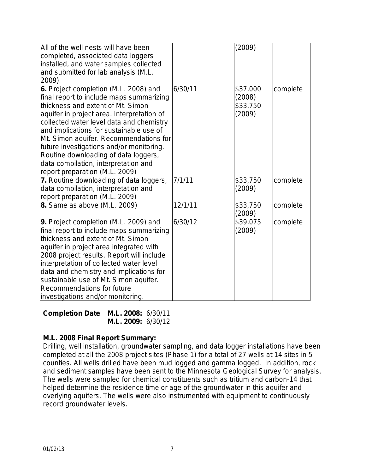| All of the well nests will have been       |         | (2009)   |          |
|--------------------------------------------|---------|----------|----------|
| completed, associated data loggers         |         |          |          |
| installed, and water samples collected     |         |          |          |
| and submitted for lab analysis (M.L.       |         |          |          |
| 2009).                                     |         |          |          |
| 6. Project completion (M.L. 2008) and      | 6/30/11 | \$37,000 | complete |
| final report to include maps summarizing   |         | (2008)   |          |
| thickness and extent of Mt. Simon          |         | \$33,750 |          |
| aquifer in project area. Interpretation of |         | (2009)   |          |
| collected water level data and chemistry   |         |          |          |
| and implications for sustainable use of    |         |          |          |
| Mt. Simon aquifer. Recommendations for     |         |          |          |
| future investigations and/or monitoring.   |         |          |          |
| Routine downloading of data loggers,       |         |          |          |
| data compilation, interpretation and       |         |          |          |
| report preparation (M.L. 2009)             |         |          |          |
| 7. Routine downloading of data loggers,    | 7/1/11  | \$33,750 | complete |
| data compilation, interpretation and       |         | (2009)   |          |
| report preparation (M.L. 2009)             |         |          |          |
| 8. Same as above (M.L. 2009)               | 12/1/11 | \$33,750 | complete |
|                                            |         | (2009)   |          |
| 9. Project completion (M.L. 2009) and      | 6/30/12 | \$39,075 | complete |
| final report to include maps summarizing   |         | (2009)   |          |
| thickness and extent of Mt. Simon          |         |          |          |
| aquifer in project area integrated with    |         |          |          |
| 2008 project results. Report will include  |         |          |          |
| interpretation of collected water level    |         |          |          |
| data and chemistry and implications for    |         |          |          |
| sustainable use of Mt. Simon aquifer.      |         |          |          |
| Recommendations for future                 |         |          |          |
| investigations and/or monitoring.          |         |          |          |

**Completion Date M.L. 2008:**6/30/11 **M.L. 2009:** 6/30/12

### **M.L. 2008 Final Report Summary:**

Drilling, well installation, groundwater sampling, and data logger installations have been completed at all the 2008 project sites (Phase 1) for a total of 27 wells at 14 sites in 5 counties. All wells drilled have been mud logged and gamma logged. In addition, rock and sediment samples have been sent to the Minnesota Geological Survey for analysis. The wells were sampled for chemical constituents such as tritium and carbon-14 that helped determine the residence time or age of the groundwater in this aquifer and overlying aquifers. The wells were also instrumented with equipment to continuously record groundwater levels.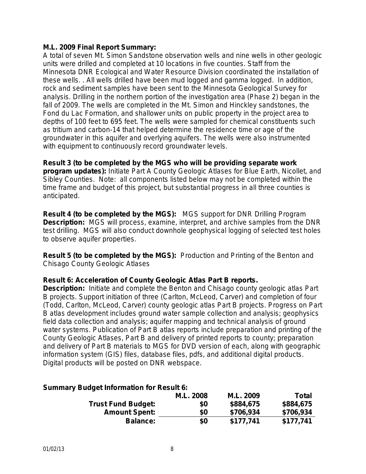### **M.L. 2009 Final Report Summary:**

A total of seven Mt. Simon Sandstone observation wells and nine wells in other geologic units were drilled and completed at 10 locations in five counties. Staff from the Minnesota DNR Ecological and Water Resource Division coordinated the installation of these wells. . All wells drilled have been mud logged and gamma logged. In addition, rock and sediment samples have been sent to the Minnesota Geological Survey for analysis. Drilling in the northern portion of the investigation area (Phase 2) began in the fall of 2009. The wells are completed in the Mt. Simon and Hinckley sandstones, the Fond du Lac Formation, and shallower units on public property in the project area to depths of 100 feet to 695 feet. The wells were sampled for chemical constituents such as tritium and carbon-14 that helped determine the residence time or age of the groundwater in this aquifer and overlying aquifers. The wells were also instrumented with equipment to continuously record groundwater levels.

**Result 3 (to be completed by the MGS who will be providing separate work program updates):** Initiate Part A County Geologic Atlases for Blue Earth, Nicollet, and Sibley Counties. Note: all components listed below may not be completed within the time frame and budget of this project, but substantial progress in all three counties is anticipated.

**Result 4 (to be completed by the MGS):** MGS support for DNR Drilling Program **Description:** MGS will process, examine, interpret, and archive samples from the DNR test drilling. MGS will also conduct downhole geophysical logging of selected test holes to observe aquifer properties.

**Result 5 (to be completed by the MGS):** Production and Printing of the Benton and Chisago County Geologic Atlases

### **Result 6: Acceleration of County Geologic Atlas Part B reports.**

**Description:** Initiate and complete the Benton and Chisago county geologic atlas Part B projects. Support initiation of three (Carlton, McLeod, Carver) and completion of four (Todd, Carlton, McLeod, Carver) county geologic atlas Part B projects. Progress on Part B atlas development includes ground water sample collection and analysis; geophysics field data collection and analysis; aquifer mapping and technical analysis of ground water systems. Publication of Part B atlas reports include preparation and printing of the County Geologic Atlases, Part B and delivery of printed reports to county; preparation and delivery of Part B materials to MGS for DVD version of each, along with geographic information system (GIS) files, database files, pdfs, and additional digital products. Digital products will be posted on DNR webspace.

### **Summary Budget Information for Result 6:**

|                           | <b>M.L. 2008</b> | M.L. 2009 | <b>Total</b> |
|---------------------------|------------------|-----------|--------------|
| <b>Trust Fund Budget:</b> | \$0              | \$884,675 | \$884,675    |
| <b>Amount Spent:</b>      | \$0              | \$706,934 | \$706,934    |
| <b>Balance:</b>           | \$0              | \$177,741 | \$177,741    |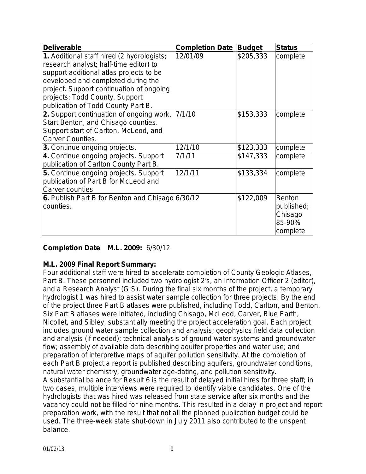| Deliverable                                                                                                                                                                                                                                                                               | <b>Completion Date</b> | <b>Budget</b> | <b>Status</b>                                                |
|-------------------------------------------------------------------------------------------------------------------------------------------------------------------------------------------------------------------------------------------------------------------------------------------|------------------------|---------------|--------------------------------------------------------------|
| 1. Additional staff hired (2 hydrologists;<br>research analyst; half-time editor) to<br>support additional atlas projects to be<br>developed and completed during the<br>project. Support continuation of ongoing<br>projects: Todd County. Support<br>publication of Todd County Part B. | 12/01/09               | \$205,333     | complete                                                     |
| 2. Support continuation of ongoing work.<br>Start Benton, and Chisago counties.<br>Support start of Carlton, McLeod, and<br><b>Carver Counties.</b>                                                                                                                                       | 7/1/10                 | \$153,333     | complete                                                     |
| 3. Continue ongoing projects.                                                                                                                                                                                                                                                             | 12/1/10                | \$123,333     | complete                                                     |
| 4. Continue ongoing projects. Support<br>publication of Carlton County Part B.                                                                                                                                                                                                            | 7/1/11                 | \$147,333     | complete                                                     |
| 5. Continue ongoing projects. Support<br>publication of Part B for McLeod and<br><b>Carver counties</b>                                                                                                                                                                                   | 12/1/11                | \$133,334     | complete                                                     |
| 6. Publish Part B for Benton and Chisago 6/30/12<br>counties.                                                                                                                                                                                                                             |                        | \$122,009     | <b>Benton</b><br>published;<br>Chisago<br>85-90%<br>complete |

# **Completion Date M.L. 2009:** 6/30/12

# **M.L. 2009 Final Report Summary:**

Four additional staff were hired to accelerate completion of County Geologic Atlases, Part B. These personnel included two hydrologist 2's, an Information Officer 2 (editor), and a Research Analyst (GIS). During the final six months of the project, a temporary hydrologist 1 was hired to assist water sample collection for three projects. By the end of the project three Part B atlases were published, including Todd, Carlton, and Benton. Six Part B atlases were initiated, including Chisago, McLeod, Carver, Blue Earth, Nicollet, and Sibley, substantially meeting the project acceleration goal. Each project includes ground water sample collection and analysis; geophysics field data collection and analysis (if needed); technical analysis of ground water systems and groundwater flow; assembly of available data describing aquifer properties and water use; and preparation of interpretive maps of aquifer pollution sensitivity. At the completion of each Part B project a report is published describing aquifers, groundwater conditions, natural water chemistry, groundwater age-dating, and pollution sensitivity. A substantial balance for Result 6 is the result of delayed initial hires for three staff; in two cases, multiple interviews were required to identify viable candidates. One of the hydrologists that was hired was released from state service after six months and the vacancy could not be filled for nine months. This resulted in a delay in project and report preparation work, with the result that not all the planned publication budget could be used. The three-week state shut-down in July 2011 also contributed to the unspent balance.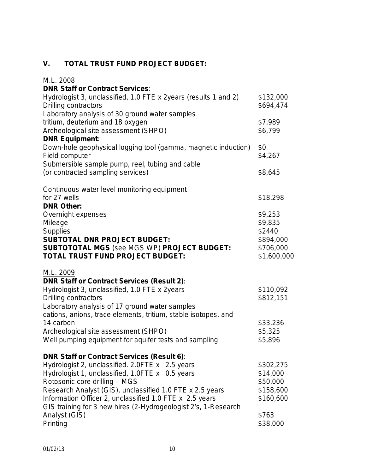# **V. TOTAL TRUST FUND PROJECT BUDGET:**

| M.L. 2008                                                       |             |
|-----------------------------------------------------------------|-------------|
| <b>DNR Staff or Contract Services:</b>                          |             |
| Hydrologist 3, unclassified, 1.0 FTE x 2years (results 1 and 2) | \$132,000   |
| Drilling contractors                                            | \$694,474   |
| Laboratory analysis of 30 ground water samples                  |             |
| tritium, deuterium and 18 oxygen                                | \$7,989     |
| Archeological site assessment (SHPO)                            | \$6,799     |
| <b>DNR Equipment:</b>                                           |             |
| Down-hole geophysical logging tool (gamma, magnetic induction)  | \$0         |
| Field computer                                                  | \$4,267     |
| Submersible sample pump, reel, tubing and cable                 |             |
| (or contracted sampling services)                               | \$8,645     |
| Continuous water level monitoring equipment                     |             |
| for 27 wells                                                    | \$18,298    |
| <b>DNR Other:</b>                                               |             |
| Overnight expenses                                              | \$9,253     |
| Mileage                                                         | \$9,835     |
| <b>Supplies</b>                                                 | \$2440      |
| <b>SUBTOTAL DNR PROJECT BUDGET:</b>                             | \$894,000   |
| <b>SUBTOTOTAL MGS (see MGS WP) PROJECT BUDGET:</b>              | \$706,000   |
| TOTAL TRUST FUND PROJECT BUDGET:                                | \$1,600,000 |
| M.L. 2009                                                       |             |
| <b>DNR Staff or Contract Services (Result 2):</b>               |             |
| Hydrologist 3, unclassified, 1.0 FTE x 2years                   | \$110,092   |
| Drilling contractors                                            | \$812,151   |
| Laboratory analysis of 17 ground water samples                  |             |
| cations, anions, trace elements, tritium, stable isotopes, and  |             |
| 14 carbon                                                       | \$33,236    |
| Archeological site assessment (SHPO)                            | \$5,325     |
| Well pumping equipment for aquifer tests and sampling           | \$5,896     |
| <b>DNR Staff or Contract Services (Result 6):</b>               |             |
| Hydrologist 2, unclassified. 2.0FTE x 2.5 years                 | \$302,275   |
| Hydrologist 1, unclassified, 1.0FTE x 0.5 years                 | \$14,000    |
| Rotosonic core drilling - MGS                                   | \$50,000    |
| Research Analyst (GIS), unclassified 1.0 FTE x 2.5 years        | \$158,600   |
| Information Officer 2, unclassified 1.0 FTE x 2.5 years         | \$160,600   |
| GIS training for 3 new hires (2-Hydrogeologist 2's, 1-Research  |             |
| Analyst (GIS)                                                   | \$763       |
| Printing                                                        | \$38,000    |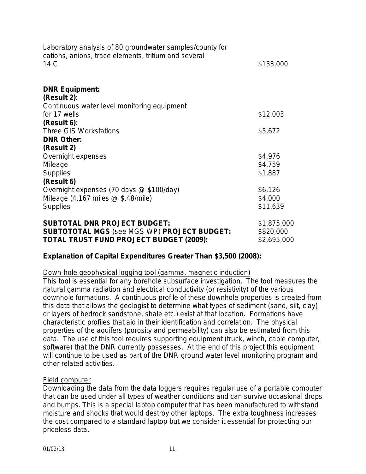| Laboratory analysis of 80 groundwater samples/county for<br>cations, anions, trace elements, tritium and several |             |
|------------------------------------------------------------------------------------------------------------------|-------------|
| 14 C                                                                                                             | \$133,000   |
| <b>DNR Equipment:</b>                                                                                            |             |
| (Result 2):                                                                                                      |             |
| Continuous water level monitoring equipment                                                                      |             |
| for 17 wells                                                                                                     | \$12,003    |
| (Result 6):                                                                                                      |             |
| <b>Three GIS Workstations</b>                                                                                    | \$5,672     |
| <b>DNR Other:</b>                                                                                                |             |
| (Result 2)                                                                                                       |             |
| Overnight expenses                                                                                               | \$4,976     |
| Mileage                                                                                                          | \$4,759     |
| <b>Supplies</b>                                                                                                  | \$1,887     |
| (Result 6)                                                                                                       |             |
| Overnight expenses (70 days @ \$100/day)                                                                         | \$6,126     |
| Mileage $(4,167 \text{ miles} \textcircled{2} \text{ $3.48/mile})$                                               | \$4,000     |
| <b>Supplies</b>                                                                                                  | \$11,639    |
| <b>SUBTOTAL DNR PROJECT BUDGET:</b>                                                                              | \$1,875,000 |
| <b>SUBTOTOTAL MGS (see MGS WP) PROJECT BUDGET:</b>                                                               | \$820,000   |
|                                                                                                                  |             |

**TOTAL TRUST FUND PROJECT BUDGET (2009):** \$2,695,000

# **Explanation of Capital Expenditures Greater Than \$3,500 (2008):**

### Down-hole geophysical logging tool (gamma, magnetic induction)

This tool is essential for any borehole subsurface investigation. The tool measures the natural gamma radiation and electrical conductivity (or resistivity) of the various downhole formations. A continuous profile of these downhole properties is created from this data that allows the geologist to determine what types of sediment (sand, silt, clay) or layers of bedrock sandstone, shale etc.) exist at that location. Formations have characteristic profiles that aid in their identification and correlation. The physical properties of the aquifers (porosity and permeability) can also be estimated from this data. The use of this tool requires supporting equipment (truck, winch, cable computer, software) that the DNR currently possesses. At the end of this project this equipment will continue to be used as part of the DNR ground water level monitoring program and other related activities.

### Field computer

Downloading the data from the data loggers requires regular use of a portable computer that can be used under all types of weather conditions and can survive occasional drops and bumps. This is a special laptop computer that has been manufactured to withstand moisture and shocks that would destroy other laptops. The extra toughness increases the cost compared to a standard laptop but we consider it essential for protecting our priceless data.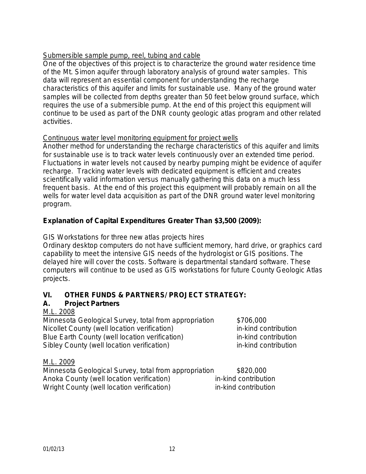# Submersible sample pump, reel, tubing and cable

One of the objectives of this project is to characterize the ground water residence time of the Mt. Simon aquifer through laboratory analysis of ground water samples. This data will represent an essential component for understanding the recharge characteristics of this aquifer and limits for sustainable use. Many of the ground water samples will be collected from depths greater than 50 feet below ground surface, which requires the use of a submersible pump. At the end of this project this equipment will continue to be used as part of the DNR county geologic atlas program and other related activities.

### Continuous water level monitoring equipment for project wells

Another method for understanding the recharge characteristics of this aquifer and limits for sustainable use is to track water levels continuously over an extended time period. Fluctuations in water levels not caused by nearby pumping might be evidence of aquifer recharge. Tracking water levels with dedicated equipment is efficient and creates scientifically valid information versus manually gathering this data on a much less frequent basis. At the end of this project this equipment will probably remain on all the wells for water level data acquisition as part of the DNR ground water level monitoring program.

### **Explanation of Capital Expenditures Greater Than \$3,500 (2009):**

GIS Workstations for three new atlas projects hires

Ordinary desktop computers do not have sufficient memory, hard drive, or graphics card capability to meet the intensive GIS needs of the hydrologist or GIS positions. The delayed hire will cover the costs. Software is departmental standard software. These computers will continue to be used as GIS workstations for future County Geologic Atlas projects.

# **VI. OTHER FUNDS & PARTNERS/ PROJECT STRATEGY:**

### **A. Project Partners**

### M.L. 2008

Minnesota Geological Survey, total from appropriation \$706,000 Nicollet County (well location verification) in-kind contribution Blue Earth County (well location verification) in-kind contribution Sibley County (well location verification) in-kind contribution

M.L. 2009

| Minnesota Geological Survey, total from appropriation | \$820,000            |
|-------------------------------------------------------|----------------------|
| Anoka County (well location verification)             | in-kind contribution |
| Wright County (well location verification)            | in-kind contribution |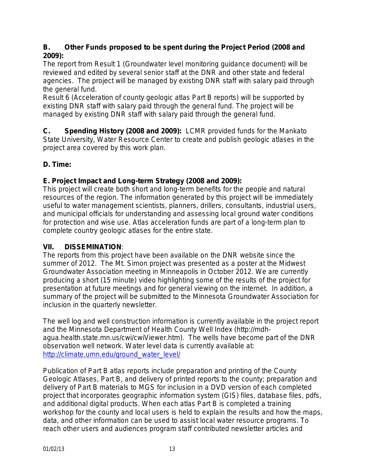# **B. Other Funds proposed to be spent during the Project Period (2008 and 2009):**

The report from Result 1 (Groundwater level monitoring guidance document) will be reviewed and edited by several senior staff at the DNR and other state and federal agencies. The project will be managed by existing DNR staff with salary paid through the general fund.

Result 6 (Acceleration of county geologic atlas Part B reports) will be supported by existing DNR staff with salary paid through the general fund. The project will be managed by existing DNR staff with salary paid through the general fund.

**C. Spending History (2008 and 2009):**LCMR provided funds for the Mankato State University, Water Resource Center to create and publish geologic atlases in the project area covered by this work plan.

# **D. Time:**

# **E. Project Impact and Long-term Strategy (2008 and 2009):**

This project will create both short and long-term benefits for the people and natural resources of the region. The information generated by this project will be immediately useful to water management scientists, planners, drillers, consultants, industrial users, and municipal officials for understanding and assessing local ground water conditions for protection and wise use. Atlas acceleration funds are part of a long-term plan to complete country geologic atlases for the entire state.

# **VII. DISSEMINATION**:

The reports from this project have been available on the DNR website since the summer of 2012. The Mt. Simon project was presented as a poster at the Midwest Groundwater Association meeting in Minneapolis in October 2012. We are currently producing a short (15 minute) video highlighting some of the results of the project for presentation at future meetings and for general viewing on the internet. In addition, a summary of the project will be submitted to the Minnesota Groundwater Association for inclusion in the quarterly newsletter.

The well log and well construction information is currently available in the project report and the Minnesota Department of Health County Well Index (http://mdhagua.health.state.mn.us/cwi/cwiViewer.htm). The wells have become part of the DNR observation well network. Water level data is currently available at: [http://climate.umn.edu/ground\\_water\\_level/](http://climate.umn.edu/ground_water_level/)

Publication of Part B atlas reports include preparation and printing of the County Geologic Atlases, Part B, and delivery of printed reports to the county; preparation and delivery of Part B materials to MGS for inclusion in a DVD version of each completed project that incorporates geographic information system (GIS) files, database files, pdfs, and additional digital products. When each atlas Part B is completed a training workshop for the county and local users is held to explain the results and how the maps, data, and other information can be used to assist local water resource programs. To reach other users and audiences program staff contributed newsletter articles and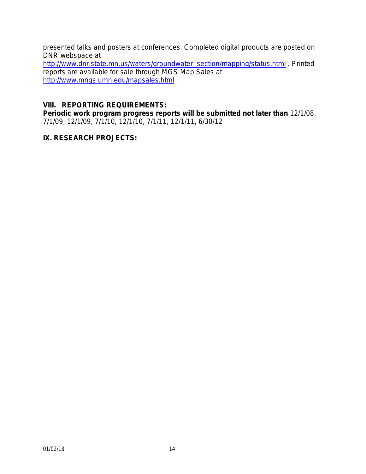presented talks and posters at conferences. Completed digital products are posted on DNR webspace at

[http://www.dnr.state.mn.us/waters/groundwater\\_section/mapping/status.html](http://www.dnr.state.mn.us/waters/groundwater_section/mapping/status.html) . Printed reports are available for sale through MGS Map Sales at <http://www.mngs.umn.edu/mapsales.html> .

### **VIII. REPORTING REQUIREMENTS:**

**Periodic work program progress reports will be submitted not later than** 12/1/08, 7/1/09, 12/1/09, 7/1/10, 12/1/10, 7/1/11, 12/1/11, 6/30/12

### **IX. RESEARCH PROJECTS:**